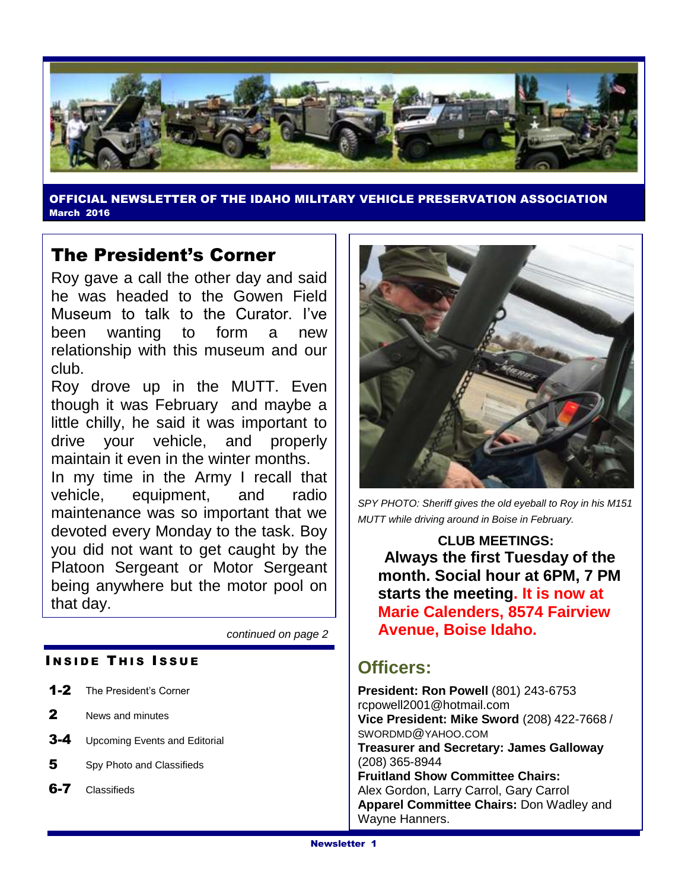

OFFICIAL NEWSLETTER OF THE IDAHO MILITARY VEHICLE PRESERVATION ASSOCIATION March 2016

## The President's Corner

Roy gave a call the other day and said he was headed to the Gowen Field Museum to talk to the Curator. I've been wanting to form a new relationship with this museum and our club.

Roy drove up in the MUTT. Even though it was February and maybe a little chilly, he said it was important to drive your vehicle, and properly maintain it even in the winter months.

In my time in the Army I recall that vehicle, equipment, and radio maintenance was so important that we devoted every Monday to the task. Boy you did not want to get caught by the Platoon Sergeant or Motor Sergeant being anywhere but the motor pool on that day.

*continued on page 2*

#### **INSIDE THIS ISSUE**

- 1-2 The President's Corner
- 2 News and minutes
- **3-4** Upcoming Events and Editorial
- 5 Spy Photo and Classifieds
- 6-7 Classifieds



*SPY PHOTO: Sheriff gives the old eyeball to Roy in his M151 MUTT while driving around in Boise in February.*

**CLUB MEETINGS: Always the first Tuesday of the month. Social hour at 6PM, 7 PM starts the meeting. It is now at Marie Calenders, 8574 Fairview Avenue, Boise Idaho.**

## **Officers:**

**President: Ron Powell** (801) 243-6753 rcpowell2001@hotmail.com **Vice President: Mike Sword** (208) 422-7668 / SWORDMD@YAHOO.COM **Treasurer and Secretary: James Galloway**  (208) 365-8944 **Fruitland Show Committee Chairs:** Alex Gordon, Larry Carrol, Gary Carrol **Apparel Committee Chairs:** Don Wadley and Wayne Hanners.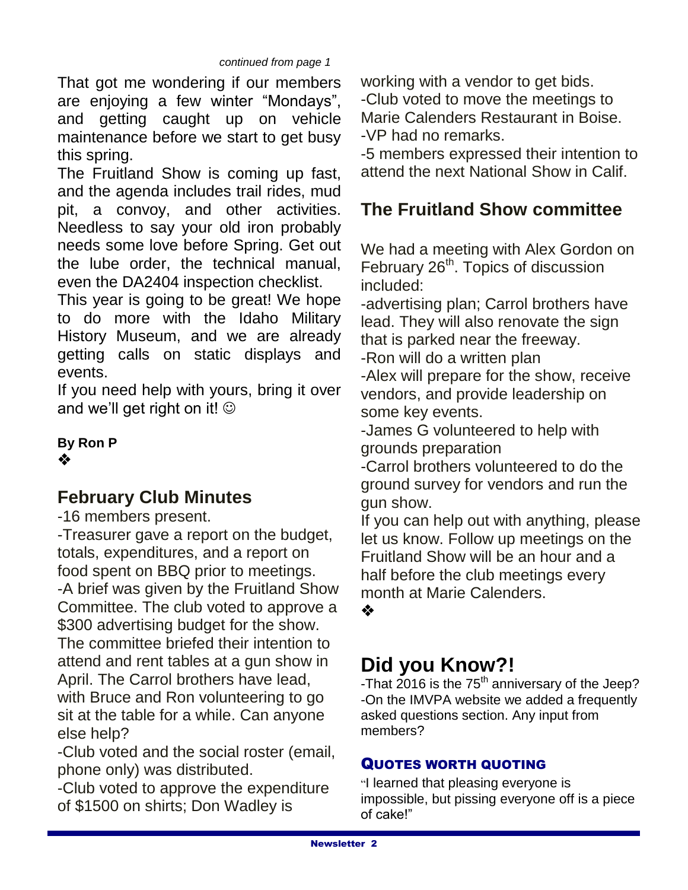That got me wondering if our members are enjoying a few winter "Mondays", and getting caught up on vehicle maintenance before we start to get busy this spring.

The Fruitland Show is coming up fast, and the agenda includes trail rides, mud pit, a convoy, and other activities. Needless to say your old iron probably needs some love before Spring. Get out the lube order, the technical manual, even the DA2404 inspection checklist.

This year is going to be great! We hope to do more with the Idaho Military History Museum, and we are already getting calls on static displays and events.

If you need help with yours, bring it over and we'll get right on it!  $\odot$ 

**By Ron P** ❖

## **February Club Minutes**

-16 members present.

-Treasurer gave a report on the budget, totals, expenditures, and a report on food spent on BBQ prior to meetings. -A brief was given by the Fruitland Show Committee. The club voted to approve a \$300 advertising budget for the show. The committee briefed their intention to attend and rent tables at a gun show in April. The Carrol brothers have lead, with Bruce and Ron volunteering to go sit at the table for a while. Can anyone else help?

-Club voted and the social roster (email, phone only) was distributed.

-Club voted to approve the expenditure of \$1500 on shirts; Don Wadley is

working with a vendor to get bids.

-Club voted to move the meetings to Marie Calenders Restaurant in Boise. -VP had no remarks.

-5 members expressed their intention to attend the next National Show in Calif.

## **The Fruitland Show committee**

We had a meeting with Alex Gordon on February 26<sup>th</sup>. Topics of discussion included:

-advertising plan; Carrol brothers have lead. They will also renovate the sign that is parked near the freeway.

-Ron will do a written plan

-Alex will prepare for the show, receive vendors, and provide leadership on some key events.

-James G volunteered to help with grounds preparation

-Carrol brothers volunteered to do the ground survey for vendors and run the gun show.

If you can help out with anything, please let us know. Follow up meetings on the Fruitland Show will be an hour and a half before the club meetings every month at Marie Calenders.

 $\frac{1}{2}$ 

## **Did you Know?!**

-That 2016 is the 75<sup>th</sup> anniversary of the Jeep? -On the IMVPA website we added a frequently asked questions section. Any input from members?

## QUOTES WORTH QUOTING

"I learned that pleasing everyone is impossible, but pissing everyone off is a piece of cake!"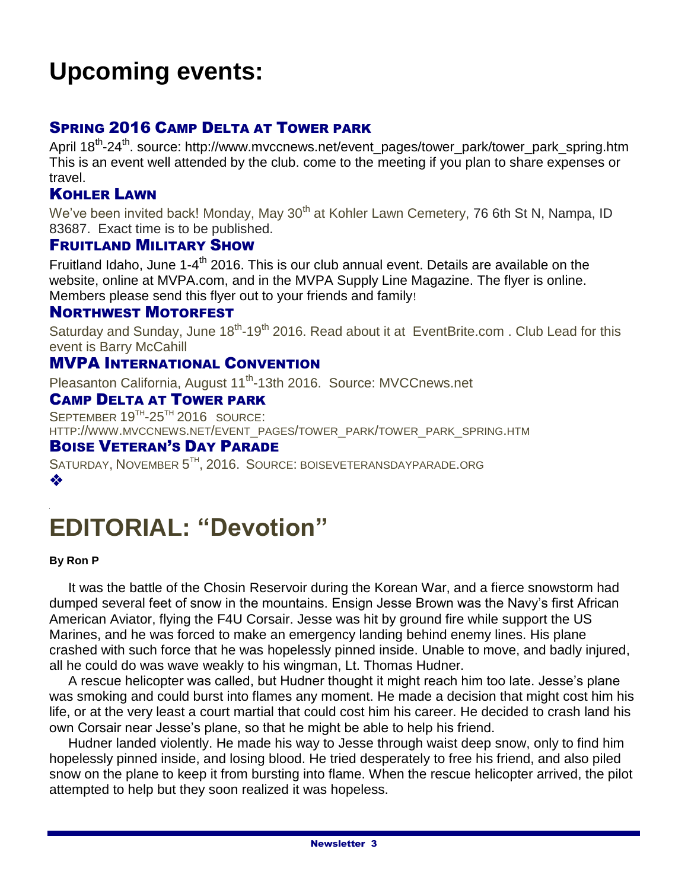# **Upcoming events:**

## SPRING 2016 CAMP DELTA AT TOWER PARK

April 18<sup>th</sup>-24<sup>th</sup>. source: http://www.mvccnews.net/event\_pages/tower\_park/tower\_park\_spring.htm This is an event well attended by the club. come to the meeting if you plan to share expenses or travel.

## KOHLER LAWN

We've been invited back! Monday, May 30<sup>th</sup> at Kohler Lawn Cemetery, 76 6th St N, Nampa, ID 83687. Exact time is to be published.

#### FRUITLAND MILITARY SHOW

Fruitland Idaho, June 1-4<sup>th</sup> 2016. This is our club annual event. Details are available on the website, online at MVPA.com, and in the MVPA Supply Line Magazine. The flyer is online. Members please send this flyer out to your friends and family!

#### NORTHWEST MOTORFEST

Saturday and Sunday, June 18<sup>th</sup>-19<sup>th</sup> 2016. Read about it at EventBrite.com. Club Lead for this event is Barry McCahill

### MVPA INTERNATIONAL CONVENTION

Pleasanton California, August 11<sup>th</sup>-13th 2016. Source: MVCCnews.net

## CAMP DELTA AT TOWER PARK

SEPTEMBER  $19^{TH}$ -25<sup>th</sup> 2016 SOURCE: HTTP://WWW.MVCCNEWS.NET/EVENT\_PAGES/TOWER\_PARK/TOWER\_PARK\_SPRING.HTM

## BOISE VETERAN'S DAY PARADE

SATURDAY, NOVEMBER 5<sup>TH</sup>, 2016. SOURCE: BOISEVETERANSDAYPARADE.ORG ❖

# **EDITORIAL: "Devotion"**

#### **By Ron P**

 It was the battle of the Chosin Reservoir during the Korean War, and a fierce snowstorm had dumped several feet of snow in the mountains. Ensign Jesse Brown was the Navy's first African American Aviator, flying the F4U Corsair. Jesse was hit by ground fire while support the US Marines, and he was forced to make an emergency landing behind enemy lines. His plane crashed with such force that he was hopelessly pinned inside. Unable to move, and badly injured, all he could do was wave weakly to his wingman, Lt. Thomas Hudner.

 A rescue helicopter was called, but Hudner thought it might reach him too late. Jesse's plane was smoking and could burst into flames any moment. He made a decision that might cost him his life, or at the very least a court martial that could cost him his career. He decided to crash land his own Corsair near Jesse's plane, so that he might be able to help his friend.

 Hudner landed violently. He made his way to Jesse through waist deep snow, only to find him hopelessly pinned inside, and losing blood. He tried desperately to free his friend, and also piled snow on the plane to keep it from bursting into flame. When the rescue helicopter arrived, the pilot attempted to help but they soon realized it was hopeless.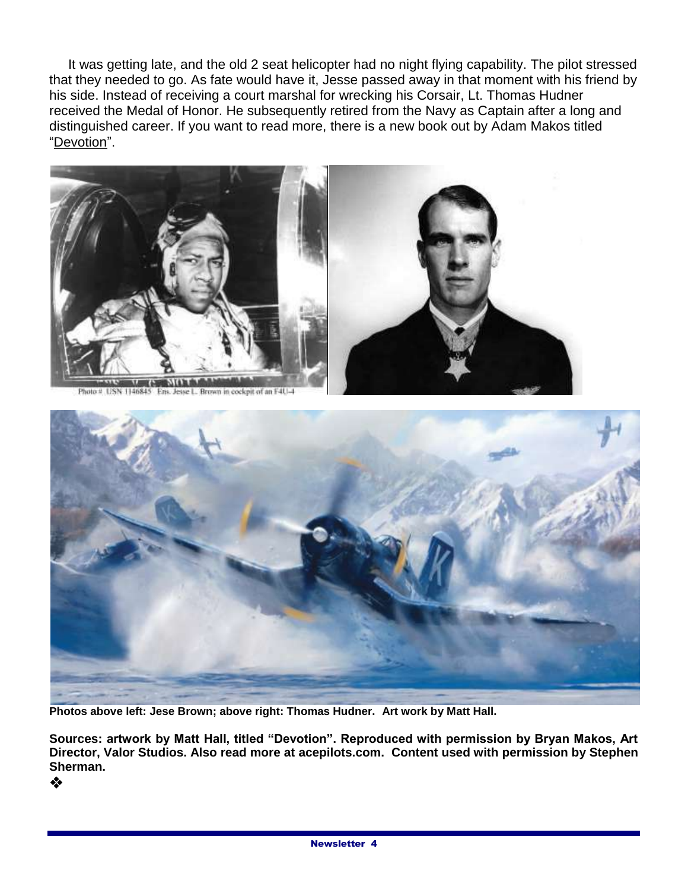It was getting late, and the old 2 seat helicopter had no night flying capability. The pilot stressed that they needed to go. As fate would have it, Jesse passed away in that moment with his friend by his side. Instead of receiving a court marshal for wrecking his Corsair, Lt. Thomas Hudner received the Medal of Honor. He subsequently retired from the Navy as Captain after a long and distinguished career. If you want to read more, there is a new book out by Adam Makos titled "Devotion".





**Photos above left: Jese Brown; above right: Thomas Hudner. Art work by Matt Hall.**

**Sources: artwork by Matt Hall, titled "Devotion". Reproduced with permission by Bryan Makos, Art Director, Valor Studios. Also read more at acepilots.com. Content used with permission by Stephen Sherman.**

❖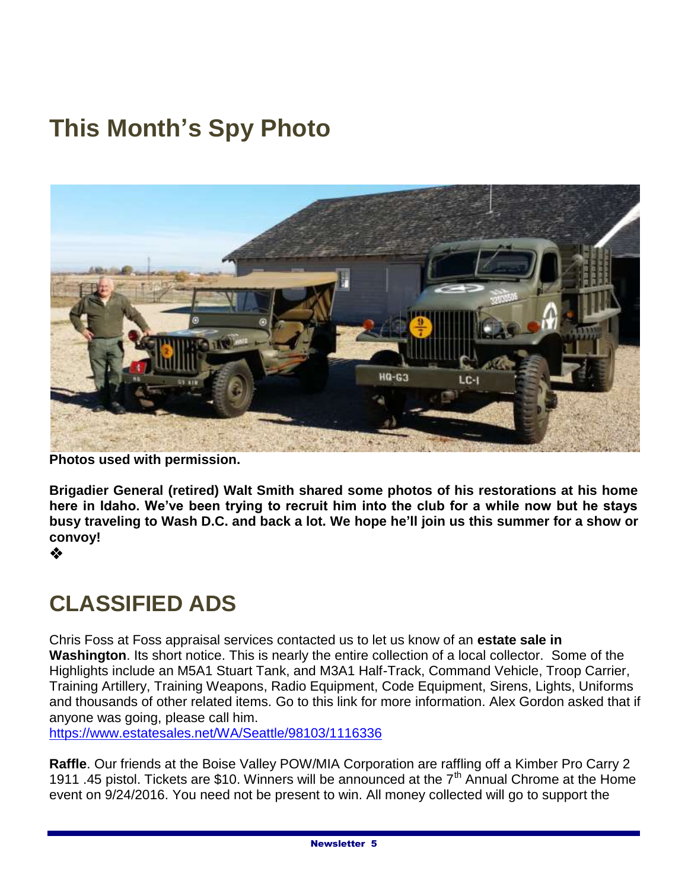# **This Month's Spy Photo**



**Photos used with permission.**

**Brigadier General (retired) Walt Smith shared some photos of his restorations at his home here in Idaho. We've been trying to recruit him into the club for a while now but he stays busy traveling to Wash D.C. and back a lot. We hope he'll join us this summer for a show or convoy!** 

❖

## **CLASSIFIED ADS**

Chris Foss at Foss appraisal services contacted us to let us know of an **estate sale in Washington**. Its short notice. This is nearly the entire collection of a local collector. Some of the Highlights include an M5A1 Stuart Tank, and M3A1 Half-Track, Command Vehicle, Troop Carrier, Training Artillery, Training Weapons, Radio Equipment, Code Equipment, Sirens, Lights, Uniforms and thousands of other related items. Go to this link for more information. Alex Gordon asked that if anyone was going, please call him.

<https://www.estatesales.net/WA/Seattle/98103/1116336>

**Raffle**. Our friends at the Boise Valley POW/MIA Corporation are raffling off a Kimber Pro Carry 2 1911 .45 pistol. Tickets are \$10. Winners will be announced at the 7<sup>th</sup> Annual Chrome at the Home event on 9/24/2016. You need not be present to win. All money collected will go to support the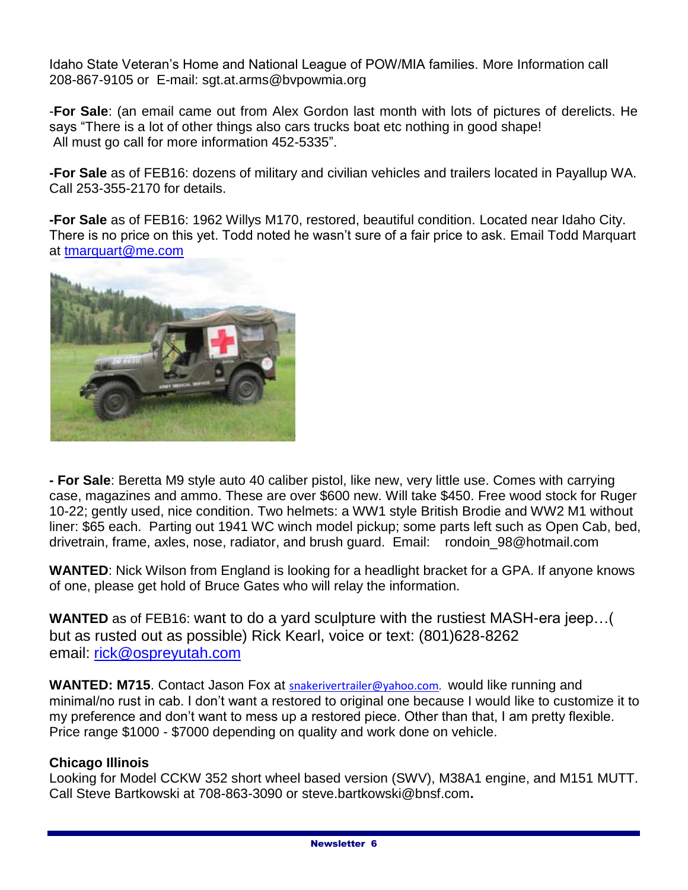Idaho State Veteran's Home and National League of POW/MIA families. More Information call 208-867-9105 or E-mail: sgt.at.arms@bvpowmia.org

-**For Sale**: (an email came out from Alex Gordon last month with lots of pictures of derelicts. He says "There is a lot of other things also cars trucks boat etc nothing in good shape! All must go call for more information 452-5335".

**-For Sale** as of FEB16: dozens of military and civilian vehicles and trailers located in Payallup WA. Call 253-355-2170 for details.

**-For Sale** as of FEB16: 1962 Willys M170, restored, beautiful condition. Located near Idaho City. There is no price on this yet. Todd noted he wasn't sure of a fair price to ask. Email Todd Marquart at [tmarquart@me.com](mailto:tmarquart@me.com)



**- For Sale**: Beretta M9 style auto 40 caliber pistol, like new, very little use. Comes with carrying case, magazines and ammo. These are over \$600 new. Will take \$450. Free wood stock for Ruger 10-22; gently used, nice condition. Two helmets: a WW1 style British Brodie and WW2 M1 without liner: \$65 each. Parting out 1941 WC winch model pickup; some parts left such as Open Cab, bed, drivetrain, frame, axles, nose, radiator, and brush guard. Email: rondoin\_98@hotmail.com

**WANTED**: Nick Wilson from England is looking for a headlight bracket for a GPA. If anyone knows of one, please get hold of Bruce Gates who will relay the information.

**WANTED** as of FEB16: want to do a yard sculpture with the rustiest MASH-era jeep…( but as rusted out as possible) Rick Kearl, voice or text: (801)628-8262 email: [rick@ospreyutah.com](mailto:rick@ospreyutah.com)

WANTED: M715. Contact Jason Fox at [snakerivertrailer@yahoo.com](mailto:snakerivertrailer@yahoo.com). would like running and minimal/no rust in cab. I don't want a restored to original one because I would like to customize it to my preference and don't want to mess up a restored piece. Other than that, I am pretty flexible. Price range \$1000 - \$7000 depending on quality and work done on vehicle.

### **Chicago Illinois**

Looking for Model CCKW 352 short wheel based version (SWV), M38A1 engine, and M151 MUTT. Call Steve Bartkowski at 708-863-3090 or steve.bartkowski@bnsf.com**.**